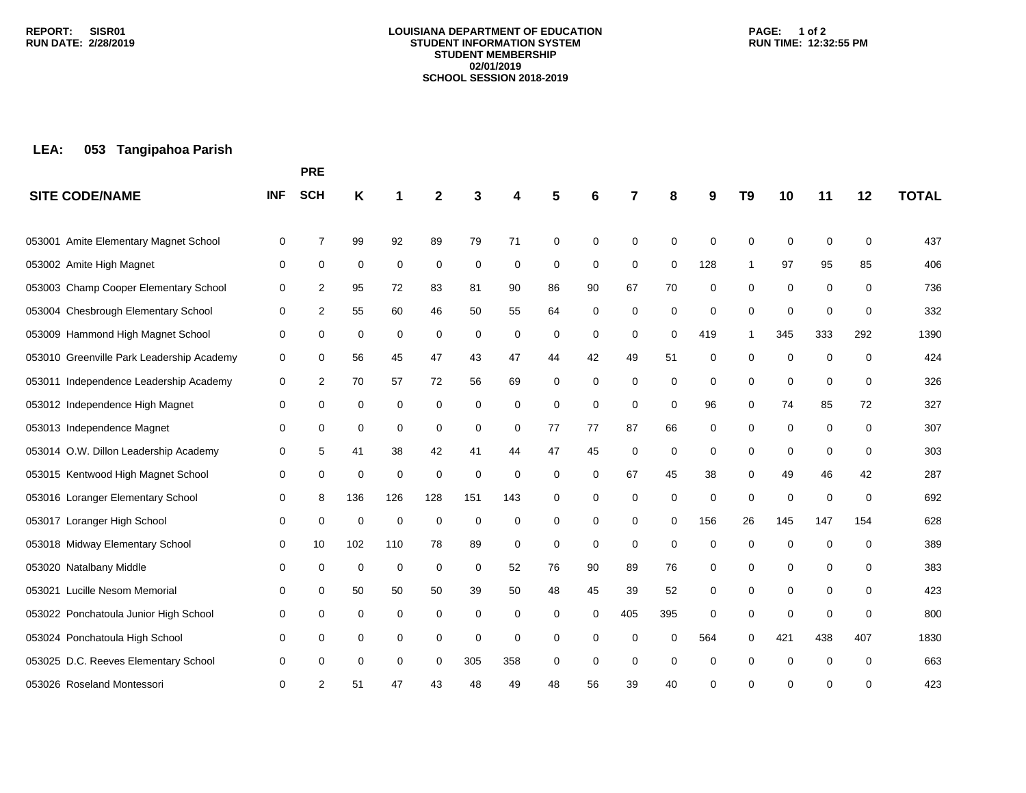#### **LOUISIANA DEPARTMENT OF EDUCATION STUDENT INFORMATION SYSTEM STUDENT MEMBERSHIP 02/01/2019 SCHOOL SESSION 2018-2019**

### **PAGE: 1 of 2 RUN TIME: 12:32:55 PM**

# **LEA: 053 Tangipahoa Parish**

|                                           |             | <b>PRE</b>     |     |             |             |             |     |    |    |             |             |             |                |             |             |     |              |
|-------------------------------------------|-------------|----------------|-----|-------------|-------------|-------------|-----|----|----|-------------|-------------|-------------|----------------|-------------|-------------|-----|--------------|
| <b>SITE CODE/NAME</b>                     | <b>INF</b>  | <b>SCH</b>     | Κ   | 1           | 2           |             | 4   | 5  | 6  | 7           | 8           | 9           | T <sub>9</sub> | 10          | 11          | 12  | <b>TOTAL</b> |
| Amite Elementary Magnet School<br>053001  | 0           | $\overline{7}$ | 99  | 92          | 89          | 79          | 71  | 0  | 0  | 0           | 0           | 0           | $\mathbf 0$    | $\mathbf 0$ | 0           | 0   | 437          |
| 053002 Amite High Magnet                  | 0           | 0              | 0   | 0           | 0           | 0           | 0   | 0  | 0  | 0           | $\Omega$    | 128         | -1             | 97          | 95          | 85  | 406          |
| 053003 Champ Cooper Elementary School     | 0           | 2              | 95  | 72          | 83          | 81          | 90  | 86 | 90 | 67          | 70          | 0           | 0              | 0           | 0           | 0   | 736          |
| 053004 Chesbrough Elementary School       |             | 2              | 55  | 60          | 46          | 50          | 55  | 64 |    | 0           | 0           | 0           | 0              | 0           | $\mathbf 0$ | 0   | 332          |
|                                           | 0           |                |     |             |             |             |     |    | 0  |             |             |             |                |             |             |     |              |
| 053009 Hammond High Magnet School         | 0           | 0              | 0   | 0           | 0           | 0           | 0   | 0  | 0  | 0           | 0           | 419         | 1              | 345         | 333         | 292 | 1390         |
| 053010 Greenville Park Leadership Academy | 0           | 0              | 56  | 45          | 47          | 43          | 47  | 44 | 42 | 49          | 51          | 0           | 0              | 0           | 0           | 0   | 424          |
| 053011 Independence Leadership Academy    | 0           | $\overline{2}$ | 70  | 57          | 72          | 56          | 69  | 0  | 0  | 0           | 0           | 0           | 0              | 0           | $\mathbf 0$ | 0   | 326          |
| 053012 Independence High Magnet           | 0           | 0              | 0   | 0           | $\mathbf 0$ | 0           | 0   | 0  | 0  | 0           | $\mathbf 0$ | 96          | 0              | 74          | 85          | 72  | 327          |
| 053013 Independence Magnet                | 0           | 0              | 0   | 0           | 0           | 0           | 0   | 77 | 77 | 87          | 66          | 0           | 0              | 0           | 0           | 0   | 307          |
| 053014 O.W. Dillon Leadership Academy     | 0           | 5              | 41  | 38          | 42          | 41          | 44  | 47 | 45 | $\mathbf 0$ | 0           | 0           | 0              | 0           | $\mathbf 0$ | 0   | 303          |
| 053015 Kentwood High Magnet School        | 0           | 0              | 0   | 0           | $\mathbf 0$ | $\mathbf 0$ | 0   | 0  | 0  | 67          | 45          | 38          | 0              | 49          | 46          | 42  | 287          |
| 053016 Loranger Elementary School         | 0           | 8              | 136 | 126         | 128         | 151         | 143 | 0  | 0  | 0           | 0           | 0           | 0              | $\mathbf 0$ | $\mathbf 0$ | 0   | 692          |
| 053017 Loranger High School               | 0           | 0              | 0   | 0           | 0           | 0           | 0   | 0  | 0  | 0           | 0           | 156         | 26             | 145         | 147         | 154 | 628          |
| 053018 Midway Elementary School           | 0           | 10             | 102 | 110         | 78          | 89          | 0   | 0  | 0  | 0           | $\mathbf 0$ | 0           | 0              | 0           | $\mathbf 0$ | 0   | 389          |
| 053020 Natalbany Middle                   | 0           | 0              | 0   | $\mathbf 0$ | 0           | 0           | 52  | 76 | 90 | 89          | 76          | 0           | 0              | $\pmb{0}$   | 0           | 0   | 383          |
| 053021 Lucille Nesom Memorial             | $\mathbf 0$ | 0              | 50  | 50          | 50          | 39          | 50  | 48 | 45 | 39          | 52          | $\mathbf 0$ | $\mathbf 0$    | $\mathbf 0$ | 0           | 0   | 423          |
| 053022 Ponchatoula Junior High School     | 0           | 0              | 0   | 0           | 0           | 0           | 0   | 0  | 0  | 405         | 395         | 0           | $\Omega$       | 0           | $\Omega$    | 0   | 800          |
| 053024 Ponchatoula High School            | 0           | $\mathbf 0$    | 0   | 0           | 0           | 0           | 0   | 0  | 0  | $\Omega$    | $\Omega$    | 564         | $\Omega$       | 421         | 438         | 407 | 1830         |
| 053025 D.C. Reeves Elementary School      | 0           | 0              | 0   | 0           | $\mathbf 0$ | 305         | 358 | 0  | 0  | $\mathbf 0$ | 0           | 0           | 0              | 0           | $\mathbf 0$ | 0   | 663          |
| 053026 Roseland Montessori                | 0           | 2              | 51  | 47          | 43          | 48          | 49  | 48 | 56 | 39          | 40          | 0           | 0              | ∩           | 0           | 0   | 423          |